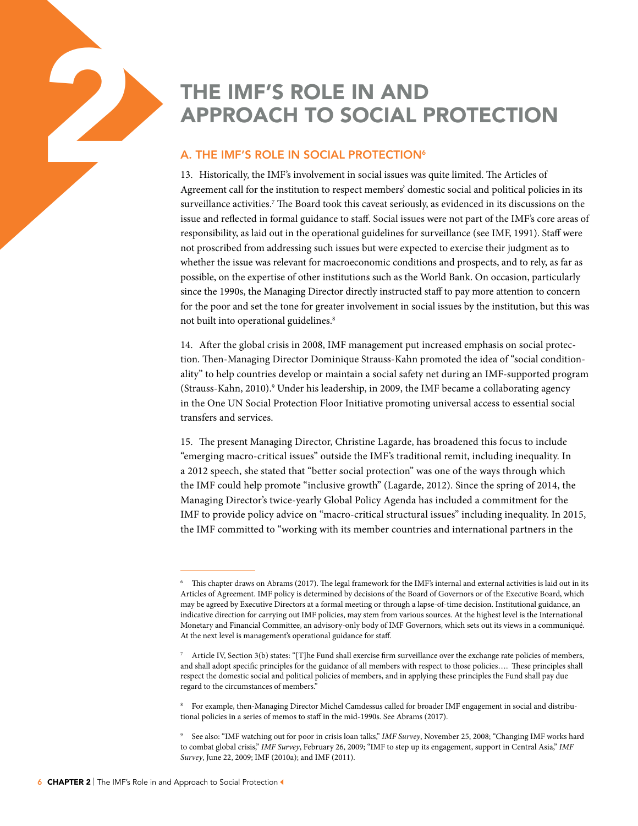# THE IMF'S ROLE IN AND APPROACH TO SOCIAL F APPROACH TO SOCIAL PROTECTION

# A. THE IMF'S ROLE IN SOCIAL PROTECTION<sup>6</sup>

13. Historically, the IMF's involvement in social issues was quite limited. The Articles of Agreement call for the institution to respect members' domestic social and political policies in its surveillance activities.<sup>7</sup> The Board took this caveat seriously, as evidenced in its discussions on the issue and reflected in formal guidance to staff. Social issues were not part of the IMF's core areas of responsibility, as laid out in the operational guidelines for surveillance (see IMF, 1991). Staff were not proscribed from addressing such issues but were expected to exercise their judgment as to whether the issue was relevant for macroeconomic conditions and prospects, and to rely, as far as possible, on the expertise of other institutions such as the World Bank. On occasion, particularly since the 1990s, the Managing Director directly instructed staff to pay more attention to concern for the poor and set the tone for greater involvement in social issues by the institution, but this was not built into operational guidelines.<sup>8</sup>

14. After the global crisis in 2008, IMF management put increased emphasis on social protection. Then-Managing Director Dominique Strauss-Kahn promoted the idea of "social conditionality" to help countries develop or maintain a social safety net during an IMF-supported program (Strauss-Kahn, 2010).<sup>9</sup> Under his leadership, in 2009, the IMF became a collaborating agency in the One UN Social Protection Floor Initiative promoting universal access to essential social transfers and services.

15. The present Managing Director, Christine Lagarde, has broadened this focus to include "emerging macro-critical issues" outside the IMF's traditional remit, including inequality. In a 2012 speech, she stated that "better social protection" was one of the ways through which the IMF could help promote "inclusive growth" (Lagarde, 2012). Since the spring of 2014, the Managing Director's twice-yearly Global Policy Agenda has included a commitment for the IMF to provide policy advice on "macro-critical structural issues" including inequality. In 2015, the IMF committed to "working with its member countries and international partners in the

8 For example, then-Managing Director Michel Camdessus called for broader IMF engagement in social and distributional policies in a series of memos to staff in the mid-1990s. See Abrams (2017).

9 See also: "IMF watching out for poor in crisis loan talks," *IMF Survey*, November 25, 2008; "Changing IMF works hard to combat global crisis," *IMF Survey*, February 26, 2009; "IMF to step up its engagement, support in Central Asia," *IMF Survey*, June 22, 2009; IMF (2010a); and IMF (2011).

<sup>6</sup> This chapter draws on Abrams (2017). The legal framework for the IMF's internal and external activities is laid out in its Articles of Agreement. IMF policy is determined by decisions of the Board of Governors or of the Executive Board, which may be agreed by Executive Directors at a formal meeting or through a lapse-of-time decision. Institutional guidance, an indicative direction for carrying out IMF policies, may stem from various sources. At the highest level is the International Monetary and Financial Committee, an advisory-only body of IMF Governors, which sets out its views in a communiqué. At the next level is management's operational guidance for staff.

<sup>7</sup> Article IV, Section 3(b) states: "[T]he Fund shall exercise firm surveillance over the exchange rate policies of members, and shall adopt specific principles for the guidance of all members with respect to those policies…. These principles shall respect the domestic social and political policies of members, and in applying these principles the Fund shall pay due regard to the circumstances of members."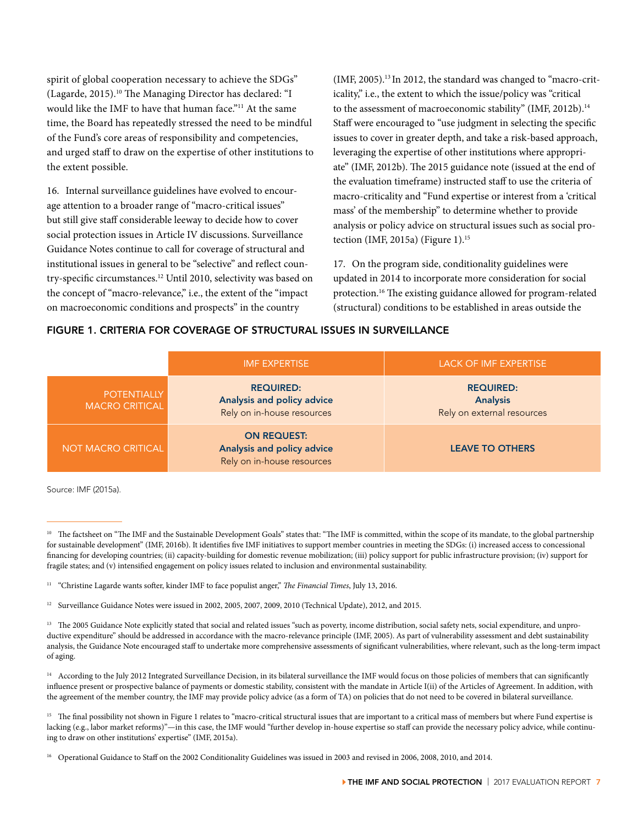spirit of global cooperation necessary to achieve the SDGs" (Lagarde, 2015).10 The Managing Director has declared: "I would like the IMF to have that human face."11 At the same time, the Board has repeatedly stressed the need to be mindful of the Fund's core areas of responsibility and competencies, and urged staff to draw on the expertise of other institutions to the extent possible.

16. Internal surveillance guidelines have evolved to encourage attention to a broader range of "macro-critical issues" but still give staff considerable leeway to decide how to cover social protection issues in Article IV discussions. Surveillance Guidance Notes continue to call for coverage of structural and institutional issues in general to be "selective" and reflect country-specific circumstances.12 Until 2010, selectivity was based on the concept of "macro-relevance," i.e., the extent of the "impact on macroeconomic conditions and prospects" in the country

(IMF, 2005).13 In 2012, the standard was changed to "macro-criticality," i.e., the extent to which the issue/policy was "critical to the assessment of macroeconomic stability" (IMF, 2012b).<sup>14</sup> Staff were encouraged to "use judgment in selecting the specific issues to cover in greater depth, and take a risk-based approach, leveraging the expertise of other institutions where appropriate" (IMF, 2012b). The 2015 guidance note (issued at the end of the evaluation timeframe) instructed staff to use the criteria of macro-criticality and "Fund expertise or interest from a 'critical mass' of the membership" to determine whether to provide analysis or policy advice on structural issues such as social protection (IMF, 2015a) (Figure 1). $15$ 

17. On the program side, conditionality guidelines were updated in 2014 to incorporate more consideration for social protection.16 The existing guidance allowed for program-related (structural) conditions to be established in areas outside the

# FIGURE 1. CRITERIA FOR COVERAGE OF STRUCTURAL ISSUES IN SURVEILLANCE

|                                             | <b>IMF EXPERTISE</b>                                                           | <b>LACK OF IMF EXPERTISE</b>                                      |
|---------------------------------------------|--------------------------------------------------------------------------------|-------------------------------------------------------------------|
| <b>POTENTIALLY</b><br><b>MACRO CRITICAL</b> | <b>REQUIRED:</b><br>Analysis and policy advice<br>Rely on in-house resources   | <b>REQUIRED:</b><br><b>Analysis</b><br>Rely on external resources |
| NOT MACRO CRITICAL                          | <b>ON REQUEST:</b><br>Analysis and policy advice<br>Rely on in-house resources | <b>LEAVE TO OTHERS</b>                                            |

Source: IMF (2015a).

The factsheet on "The IMF and the Sustainable Development Goals" states that: "The IMF is committed, within the scope of its mandate, to the global partnership for sustainable development" (IMF, 2016b). It identifies five IMF initiatives to support member countries in meeting the SDGs: (i) increased access to concessional financing for developing countries; (ii) capacity-building for domestic revenue mobilization; (iii) policy support for public infrastructure provision; (iv) support for fragile states; and (v) intensified engagement on policy issues related to inclusion and environmental sustainability.

<sup>&</sup>lt;sup>11</sup> "Christine Lagarde wants softer, kinder IMF to face populist anger," The Financial Times, July 13, 2016.

<sup>&</sup>lt;sup>12</sup> Surveillance Guidance Notes were issued in 2002, 2005, 2007, 2009, 2010 (Technical Update), 2012, and 2015.

<sup>&</sup>lt;sup>13</sup> The 2005 Guidance Note explicitly stated that social and related issues "such as poverty, income distribution, social safety nets, social expenditure, and unproductive expenditure" should be addressed in accordance with the macro-relevance principle (IMF, 2005). As part of vulnerability assessment and debt sustainability analysis, the Guidance Note encouraged staff to undertake more comprehensive assessments of significant vulnerabilities, where relevant, such as the long-term impact of aging.

<sup>&</sup>lt;sup>14</sup> According to the July 2012 Integrated Surveillance Decision, in its bilateral surveillance the IMF would focus on those policies of members that can significantly influence present or prospective balance of payments or domestic stability, consistent with the mandate in Article I(ii) of the Articles of Agreement. In addition, with the agreement of the member country, the IMF may provide policy advice (as a form of TA) on policies that do not need to be covered in bilateral surveillance.

The final possibility not shown in Figure 1 relates to "macro-critical structural issues that are important to a critical mass of members but where Fund expertise is lacking (e.g., labor market reforms)"—in this case, the IMF would "further develop in-house expertise so staff can provide the necessary policy advice, while continuing to draw on other institutions' expertise" (IMF, 2015a).

<sup>16</sup> Operational Guidance to Staff on the 2002 Conditionality Guidelines was issued in 2003 and revised in 2006, 2008, 2010, and 2014.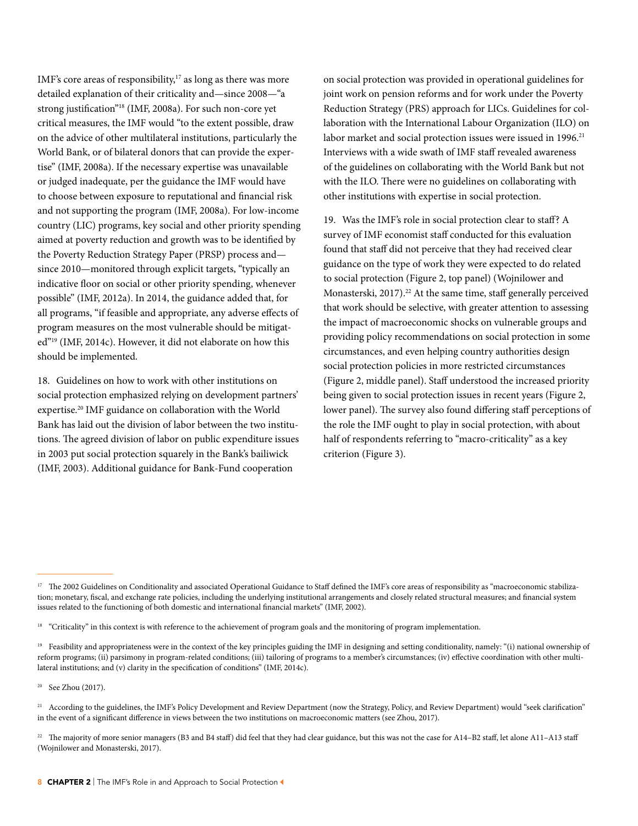IMF's core areas of responsibility,<sup>17</sup> as long as there was more detailed explanation of their criticality and—since 2008—"a strong justification"18 (IMF, 2008a). For such non-core yet critical measures, the IMF would "to the extent possible, draw on the advice of other multilateral institutions, particularly the World Bank, or of bilateral donors that can provide the expertise" (IMF, 2008a). If the necessary expertise was unavailable or judged inadequate, per the guidance the IMF would have to choose between exposure to reputational and financial risk and not supporting the program (IMF, 2008a). For low-income country (LIC) programs, key social and other priority spending aimed at poverty reduction and growth was to be identified by the Poverty Reduction Strategy Paper (PRSP) process and since 2010—monitored through explicit targets, "typically an indicative floor on social or other priority spending, whenever possible" (IMF, 2012a). In 2014, the guidance added that, for all programs, "if feasible and appropriate, any adverse effects of program measures on the most vulnerable should be mitigated"19 (IMF, 2014c). However, it did not elaborate on how this should be implemented.

18. Guidelines on how to work with other institutions on social protection emphasized relying on development partners' expertise.20 IMF guidance on collaboration with the World Bank has laid out the division of labor between the two institutions. The agreed division of labor on public expenditure issues in 2003 put social protection squarely in the Bank's bailiwick (IMF, 2003). Additional guidance for Bank-Fund cooperation

on social protection was provided in operational guidelines for joint work on pension reforms and for work under the Poverty Reduction Strategy (PRS) approach for LICs. Guidelines for collaboration with the International Labour Organization (ILO) on labor market and social protection issues were issued in 1996.<sup>21</sup> Interviews with a wide swath of IMF staff revealed awareness of the guidelines on collaborating with the World Bank but not with the ILO. There were no guidelines on collaborating with other institutions with expertise in social protection.

19. Was the IMF's role in social protection clear to staff? A survey of IMF economist staff conducted for this evaluation found that staff did not perceive that they had received clear guidance on the type of work they were expected to do related to social protection (Figure 2, top panel) (Wojnilower and Monasterski, 2017).<sup>22</sup> At the same time, staff generally perceived that work should be selective, with greater attention to assessing the impact of macroeconomic shocks on vulnerable groups and providing policy recommendations on social protection in some circumstances, and even helping country authorities design social protection policies in more restricted circumstances (Figure 2, middle panel). Staff understood the increased priority being given to social protection issues in recent years (Figure 2, lower panel). The survey also found differing staff perceptions of the role the IMF ought to play in social protection, with about half of respondents referring to "macro-criticality" as a key criterion (Figure 3).

<sup>&</sup>lt;sup>17</sup> The 2002 Guidelines on Conditionality and associated Operational Guidance to Staff defined the IMF's core areas of responsibility as "macroeconomic stabilization; monetary, fiscal, and exchange rate policies, including the underlying institutional arrangements and closely related structural measures; and financial system issues related to the functioning of both domestic and international financial markets" (IMF, 2002).

<sup>&</sup>lt;sup>18</sup> "Criticality" in this context is with reference to the achievement of program goals and the monitoring of program implementation.

<sup>&</sup>lt;sup>19</sup> Feasibility and appropriateness were in the context of the key principles guiding the IMF in designing and setting conditionality, namely: "(i) national ownership of reform programs; (ii) parsimony in program-related conditions; (iii) tailoring of programs to a member's circumstances; (iv) effective coordination with other multilateral institutions; and (v) clarity in the specification of conditions" (IMF, 2014c).

 $20$  See Zhou (2017).

<sup>&</sup>lt;sup>21</sup> According to the guidelines, the IMF's Policy Development and Review Department (now the Strategy, Policy, and Review Department) would "seek clarification" in the event of a significant difference in views between the two institutions on macroeconomic matters (see Zhou, 2017).

<sup>&</sup>lt;sup>22</sup> The majority of more senior managers (B3 and B4 staff) did feel that they had clear guidance, but this was not the case for A14-B2 staff, let alone A11-A13 staff (Wojnilower and Monasterski, 2017).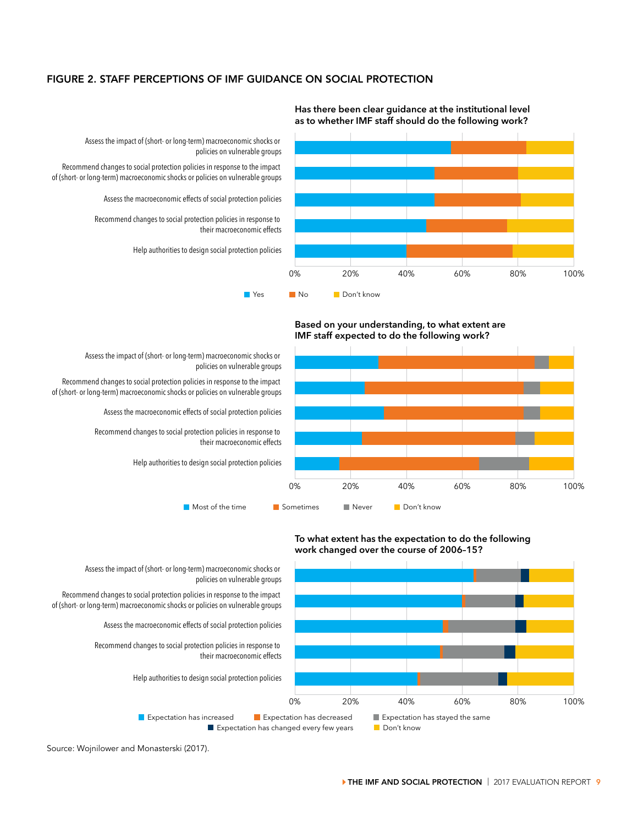# FIGURE 2. STAFF PERCEPTIONS OF IMF GUIDANCE ON SOCIAL PROTECTION



**Has there been clear guidance at the institutional level as to whether IMF staff should do the following work?**

Assess the impact of (short- or long-term) macroeconomic shocks or policies on vulnerable groups

Recommend changes to social protection policies in response to the impact of (short- or long-term) macroeconomic shocks or policies on vulnerable groups

Assess the macroeconomic effects of social protection policies

Recommend changes to social protection policies in response to their macroeconomic effects

Help authorities to design social protection policies





Assess the impact of (short- or long-term) macroeconomic shocks or policies on vulnerable groups

Recommend changes to social protection policies in response to the impact of (short- or long-term) macroeconomic shocks or policies on vulnerable groups

Assess the macroeconomic effects of social protection policies

Recommend changes to social protection policies in response to their macroeconomic effects

Help authorities to design social protection policies



### **To what extent has the expectation to do the following work changed over the course of 2006–15?**

Source: Wojnilower and Monasterski (2017).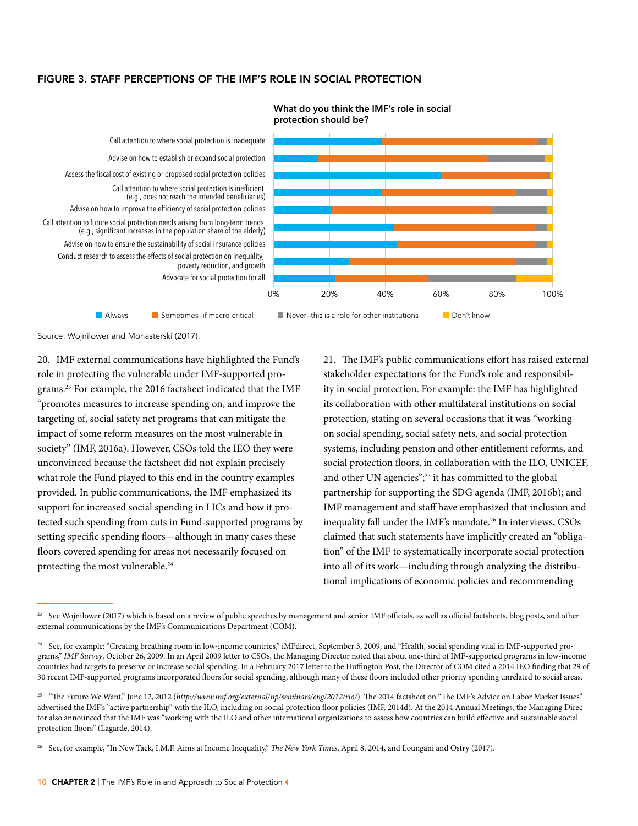# FIGURE 3. STAFF PERCEPTIONS OF THE IMF'S ROLE IN SOCIAL PROTECTION



### **What do you think the IMF's role in social protection should be?**

Source: Wojnilower and Monasterski (2017).

20. IMF external communications have highlighted the Fund's role in protecting the vulnerable under IMF-supported programs.23 For example, the 2016 factsheet indicated that the IMF "promotes measures to increase spending on, and improve the targeting of, social safety net programs that can mitigate the impact of some reform measures on the most vulnerable in society" (IMF, 2016a). However, CSOs told the IEO they were unconvinced because the factsheet did not explain precisely what role the Fund played to this end in the country examples provided. In public communications, the IMF emphasized its support for increased social spending in LICs and how it protected such spending from cuts in Fund-supported programs by setting specific spending floors—although in many cases these floors covered spending for areas not necessarily focused on protecting the most vulnerable.<sup>24</sup>

21. The IMF's public communications effort has raised external stakeholder expectations for the Fund's role and responsibility in social protection. For example: the IMF has highlighted its collaboration with other multilateral institutions on social protection, stating on several occasions that it was "working on social spending, social safety nets, and social protection systems, including pension and other entitlement reforms, and social protection floors, in collaboration with the ILO, UNICEF, and other UN agencies";<sup>25</sup> it has committed to the global partnership for supporting the SDG agenda (IMF, 2016b); and IMF management and staff have emphasized that inclusion and inequality fall under the IMF's mandate.26 In interviews, CSOs claimed that such statements have implicitly created an "obligation" of the IMF to systematically incorporate social protection into all of its work—including through analyzing the distributional implications of economic policies and recommending

<sup>&</sup>lt;sup>23</sup> See Wojnilower (2017) which is based on a review of public speeches by management and senior IMF officials, as well as official factsheets, blog posts, and other external communications by the IMF's Communications Department (COM).

<sup>&</sup>lt;sup>24</sup> See, for example: "Creating breathing room in low-income countries," iMFdirect, September 3, 2009, and "Health, social spending vital in IMF-supported programs," *IMF Survey*, October 26, 2009. In an April 2009 letter to CSOs, the Managing Director noted that about one-third of IMF-supported programs in low-income countries had targets to preserve or increase social spending. In a February 2017 letter to the Huffington Post, the Director of COM cited a 2014 IEO finding that 29 of 30 recent IMF-supported programs incorporated floors for social spending, although many of these floors included other priority spending unrelated to social areas.

<sup>&</sup>lt;sup>25</sup> "The Future We Want," June 12, 2012 (http://www.imf.org/external/np/seminars/eng/2012/rio/). The 2014 factsheet on "The IMF's Advice on Labor Market Issues" advertised the IMF's "active partnership" with the ILO, including on social protection floor policies (IMF, 2014d). At the 2014 Annual Meetings, the Managing Director also announced that the IMF was "working with the ILO and other international organizations to assess how countries can build effective and sustainable social protection floors" (Lagarde, 2014).

<sup>26</sup> See, for example, "In New Tack, I.M.F. Aims at Income Inequality," *The New York Times*, April 8, 2014, and Loungani and Ostry (2017).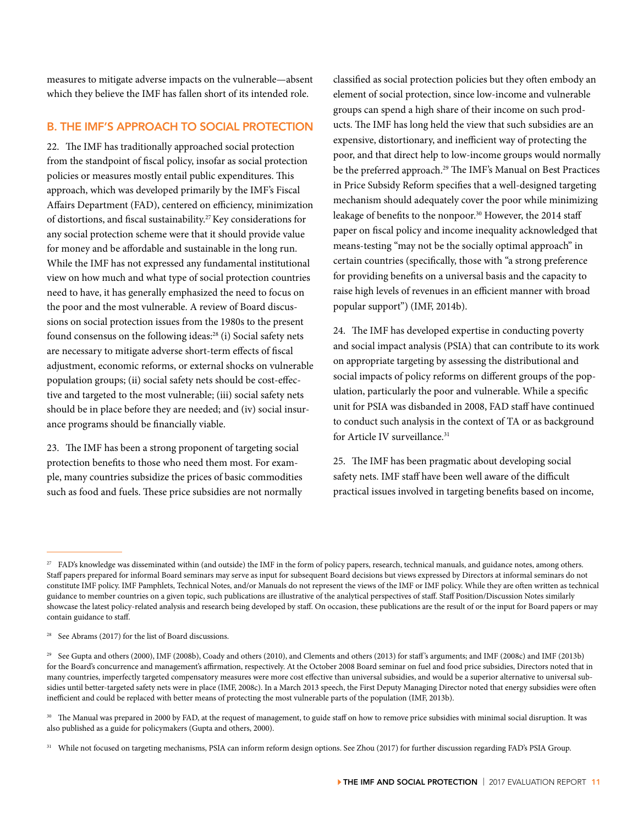measures to mitigate adverse impacts on the vulnerable—absent which they believe the IMF has fallen short of its intended role.

# B. THE IMF'S APPROACH TO SOCIAL PROTECTION

22. The IMF has traditionally approached social protection from the standpoint of fiscal policy, insofar as social protection policies or measures mostly entail public expenditures. This approach, which was developed primarily by the IMF's Fiscal Affairs Department (FAD), centered on efficiency, minimization of distortions, and fiscal sustainability.27 Key considerations for any social protection scheme were that it should provide value for money and be affordable and sustainable in the long run. While the IMF has not expressed any fundamental institutional view on how much and what type of social protection countries need to have, it has generally emphasized the need to focus on the poor and the most vulnerable. A review of Board discussions on social protection issues from the 1980s to the present found consensus on the following ideas:<sup>28</sup> (i) Social safety nets are necessary to mitigate adverse short-term effects of fiscal adjustment, economic reforms, or external shocks on vulnerable population groups; (ii) social safety nets should be cost-effective and targeted to the most vulnerable; (iii) social safety nets should be in place before they are needed; and (iv) social insurance programs should be financially viable.

23. The IMF has been a strong proponent of targeting social protection benefits to those who need them most. For example, many countries subsidize the prices of basic commodities such as food and fuels. These price subsidies are not normally

classified as social protection policies but they often embody an element of social protection, since low-income and vulnerable groups can spend a high share of their income on such products. The IMF has long held the view that such subsidies are an expensive, distortionary, and inefficient way of protecting the poor, and that direct help to low-income groups would normally be the preferred approach.<sup>29</sup> The IMF's Manual on Best Practices in Price Subsidy Reform specifies that a well-designed targeting mechanism should adequately cover the poor while minimizing leakage of benefits to the nonpoor.<sup>30</sup> However, the 2014 staff paper on fiscal policy and income inequality acknowledged that means-testing "may not be the socially optimal approach" in certain countries (specifically, those with "a strong preference for providing benefits on a universal basis and the capacity to raise high levels of revenues in an efficient manner with broad popular support") (IMF, 2014b).

24. The IMF has developed expertise in conducting poverty and social impact analysis (PSIA) that can contribute to its work on appropriate targeting by assessing the distributional and social impacts of policy reforms on different groups of the population, particularly the poor and vulnerable. While a specific unit for PSIA was disbanded in 2008, FAD staff have continued to conduct such analysis in the context of TA or as background for Article IV surveillance.<sup>31</sup>

25. The IMF has been pragmatic about developing social safety nets. IMF staff have been well aware of the difficult practical issues involved in targeting benefits based on income,

 $^{27}$  FAD's knowledge was disseminated within (and outside) the IMF in the form of policy papers, research, technical manuals, and guidance notes, among others. Staff papers prepared for informal Board seminars may serve as input for subsequent Board decisions but views expressed by Directors at informal seminars do not constitute IMF policy. IMF Pamphlets, Technical Notes, and/or Manuals do not represent the views of the IMF or IMF policy. While they are often written as technical guidance to member countries on a given topic, such publications are illustrative of the analytical perspectives of staff. Staff Position/Discussion Notes similarly showcase the latest policy-related analysis and research being developed by staff. On occasion, these publications are the result of or the input for Board papers or may contain guidance to staff.

<sup>&</sup>lt;sup>28</sup> See Abrams (2017) for the list of Board discussions.

<sup>29</sup> See Gupta and others (2000), IMF (2008b), Coady and others (2010), and Clements and others (2013) for staff 's arguments; and IMF (2008c) and IMF (2013b) for the Board's concurrence and management's affirmation, respectively. At the October 2008 Board seminar on fuel and food price subsidies, Directors noted that in many countries, imperfectly targeted compensatory measures were more cost effective than universal subsidies, and would be a superior alternative to universal subsidies until better-targeted safety nets were in place (IMF, 2008c). In a March 2013 speech, the First Deputy Managing Director noted that energy subsidies were often inefficient and could be replaced with better means of protecting the most vulnerable parts of the population (IMF, 2013b).

<sup>&</sup>lt;sup>30</sup> The Manual was prepared in 2000 by FAD, at the request of management, to guide staff on how to remove price subsidies with minimal social disruption. It was also published as a guide for policymakers (Gupta and others, 2000).

<sup>31</sup> While not focused on targeting mechanisms, PSIA can inform reform design options. See Zhou (2017) for further discussion regarding FAD's PSIA Group.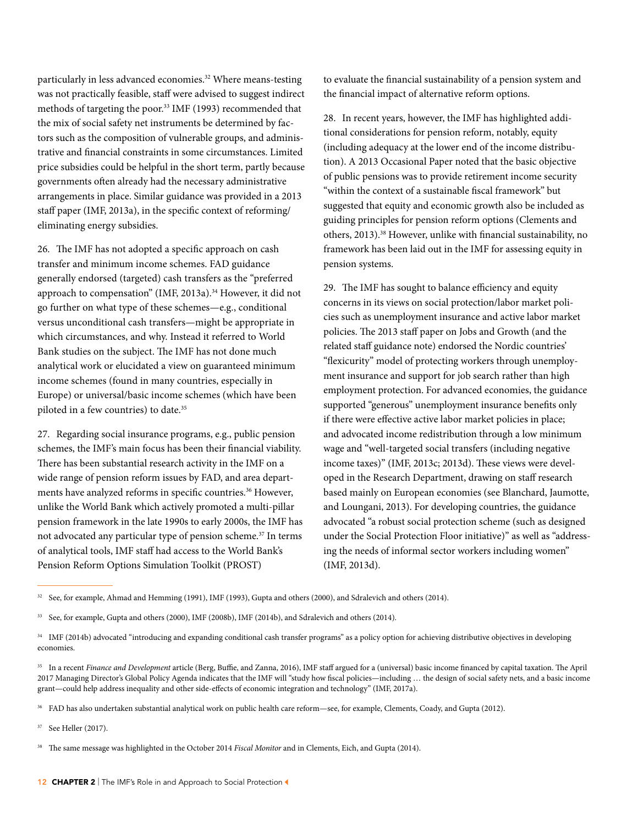particularly in less advanced economies.<sup>32</sup> Where means-testing was not practically feasible, staff were advised to suggest indirect methods of targeting the poor.33 IMF (1993) recommended that the mix of social safety net instruments be determined by factors such as the composition of vulnerable groups, and administrative and financial constraints in some circumstances. Limited price subsidies could be helpful in the short term, partly because governments often already had the necessary administrative arrangements in place. Similar guidance was provided in a 2013 staff paper (IMF, 2013a), in the specific context of reforming/ eliminating energy subsidies.

26. The IMF has not adopted a specific approach on cash transfer and minimum income schemes. FAD guidance generally endorsed (targeted) cash transfers as the "preferred approach to compensation" (IMF, 2013a).<sup>34</sup> However, it did not go further on what type of these schemes—e.g., conditional versus unconditional cash transfers—might be appropriate in which circumstances, and why. Instead it referred to World Bank studies on the subject. The IMF has not done much analytical work or elucidated a view on guaranteed minimum income schemes (found in many countries, especially in Europe) or universal/basic income schemes (which have been piloted in a few countries) to date.35

27. Regarding social insurance programs, e.g., public pension schemes, the IMF's main focus has been their financial viability. There has been substantial research activity in the IMF on a wide range of pension reform issues by FAD, and area departments have analyzed reforms in specific countries.<sup>36</sup> However, unlike the World Bank which actively promoted a multi-pillar pension framework in the late 1990s to early 2000s, the IMF has not advocated any particular type of pension scheme.37 In terms of analytical tools, IMF staff had access to the World Bank's Pension Reform Options Simulation Toolkit (PROST)

to evaluate the financial sustainability of a pension system and the financial impact of alternative reform options.

28. In recent years, however, the IMF has highlighted additional considerations for pension reform, notably, equity (including adequacy at the lower end of the income distribution). A 2013 Occasional Paper noted that the basic objective of public pensions was to provide retirement income security "within the context of a sustainable fiscal framework" but suggested that equity and economic growth also be included as guiding principles for pension reform options (Clements and others, 2013).38 However, unlike with financial sustainability, no framework has been laid out in the IMF for assessing equity in pension systems.

29. The IMF has sought to balance efficiency and equity concerns in its views on social protection/labor market policies such as unemployment insurance and active labor market policies. The 2013 staff paper on Jobs and Growth (and the related staff guidance note) endorsed the Nordic countries' "flexicurity" model of protecting workers through unemployment insurance and support for job search rather than high employment protection. For advanced economies, the guidance supported "generous" unemployment insurance benefits only if there were effective active labor market policies in place; and advocated income redistribution through a low minimum wage and "well-targeted social transfers (including negative income taxes)" (IMF, 2013c; 2013d). These views were developed in the Research Department, drawing on staff research based mainly on European economies (see Blanchard, Jaumotte, and Loungani, 2013). For developing countries, the guidance advocated "a robust social protection scheme (such as designed under the Social Protection Floor initiative)" as well as "addressing the needs of informal sector workers including women" (IMF, 2013d).

<sup>32</sup> See, for example, Ahmad and Hemming (1991), IMF (1993), Gupta and others (2000), and Sdralevich and others (2014).

<sup>33</sup> See, for example, Gupta and others (2000), IMF (2008b), IMF (2014b), and Sdralevich and others (2014).

<sup>34</sup> IMF (2014b) advocated "introducing and expanding conditional cash transfer programs" as a policy option for achieving distributive objectives in developing economies.

<sup>&</sup>lt;sup>35</sup> In a recent *Finance and Development* article (Berg, Buffie, and Zanna, 2016), IMF staff argued for a (universal) basic income financed by capital taxation. The April 2017 Managing Director's Global Policy Agenda indicates that the IMF will "study how fiscal policies—including … the design of social safety nets, and a basic income grant—could help address inequality and other side-effects of economic integration and technology" (IMF, 2017a).

<sup>36</sup> FAD has also undertaken substantial analytical work on public health care reform—see, for example, Clements, Coady, and Gupta (2012).

<sup>37</sup> See Heller (2017).

<sup>38</sup> The same message was highlighted in the October 2014 *Fiscal Monitor* and in Clements, Eich, and Gupta (2014).